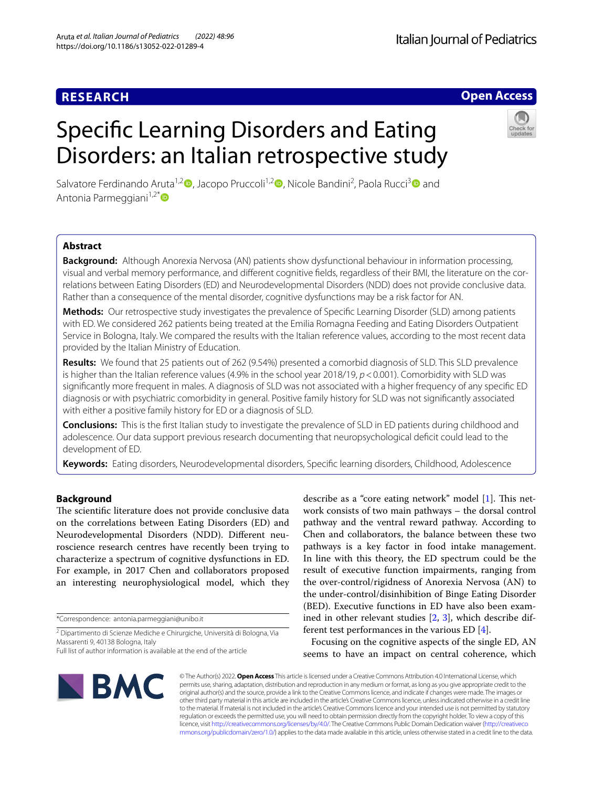# **Open Access**

# Specifc Learning Disorders and Eating Disorders: an Italian retrospective study



Salvatore Ferdinando Aruta<sup>1,[2](https://orcid.org/0000-0002-7540-0776)</sup><sup>0</sup>, Jacopo Pruccoli<sup>1,2</sup><sup>0</sup>, Nicole Bandini<sup>2</sup>, Paola Rucci<sup>3</sup><sup>0</sup> and Antonia Parmeggiani $1,2^*$ 

# **Abstract**

**Background:** Although Anorexia Nervosa (AN) patients show dysfunctional behaviour in information processing, visual and verbal memory performance, and diferent cognitive felds, regardless of their BMI, the literature on the correlations between Eating Disorders (ED) and Neurodevelopmental Disorders (NDD) does not provide conclusive data. Rather than a consequence of the mental disorder, cognitive dysfunctions may be a risk factor for AN.

**Methods:** Our retrospective study investigates the prevalence of Specifc Learning Disorder (SLD) among patients with ED. We considered 262 patients being treated at the Emilia Romagna Feeding and Eating Disorders Outpatient Service in Bologna, Italy. We compared the results with the Italian reference values, according to the most recent data provided by the Italian Ministry of Education.

**Results:** We found that 25 patients out of 262 (9.54%) presented a comorbid diagnosis of SLD. This SLD prevalence is higher than the Italian reference values (4.9% in the school year 2018/19, *p*<0.001). Comorbidity with SLD was signifcantly more frequent in males. A diagnosis of SLD was not associated with a higher frequency of any specifc ED diagnosis or with psychiatric comorbidity in general. Positive family history for SLD was not signifcantly associated with either a positive family history for ED or a diagnosis of SLD.

**Conclusions:** This is the frst Italian study to investigate the prevalence of SLD in ED patients during childhood and adolescence. Our data support previous research documenting that neuropsychological defcit could lead to the development of ED.

**Keywords:** Eating disorders, Neurodevelopmental disorders, Specifc learning disorders, Childhood, Adolescence

## **Background**

The scientific literature does not provide conclusive data on the correlations between Eating Disorders (ED) and Neurodevelopmental Disorders (NDD). Diferent neuroscience research centres have recently been trying to characterize a spectrum of cognitive dysfunctions in ED. For example, in 2017 Chen and collaborators proposed an interesting neurophysiological model, which they

\*Correspondence: antonia.parmeggiani@unibo.it

describe as a "core eating network" model  $[1]$  $[1]$  $[1]$ . This network consists of two main pathways – the dorsal control pathway and the ventral reward pathway. According to Chen and collaborators, the balance between these two pathways is a key factor in food intake management. In line with this theory, the ED spectrum could be the result of executive function impairments, ranging from the over-control/rigidness of Anorexia Nervosa (AN) to the under-control/disinhibition of Binge Eating Disorder (BED). Executive functions in ED have also been examined in other relevant studies [\[2](#page-5-1), [3\]](#page-5-2), which describe different test performances in the various ED [\[4](#page-5-3)].

Focusing on the cognitive aspects of the single ED, AN seems to have an impact on central coherence, which



© The Author(s) 2022. **Open Access** This article is licensed under a Creative Commons Attribution 4.0 International License, which permits use, sharing, adaptation, distribution and reproduction in any medium or format, as long as you give appropriate credit to the original author(s) and the source, provide a link to the Creative Commons licence, and indicate if changes were made. The images or other third party material in this article are included in the article's Creative Commons licence, unless indicated otherwise in a credit line to the material. If material is not included in the article's Creative Commons licence and your intended use is not permitted by statutory regulation or exceeds the permitted use, you will need to obtain permission directly from the copyright holder. To view a copy of this licence, visit [http://creativecommons.org/licenses/by/4.0/.](http://creativecommons.org/licenses/by/4.0/) The Creative Commons Public Domain Dedication waiver ([http://creativeco](http://creativecommons.org/publicdomain/zero/1.0/) [mmons.org/publicdomain/zero/1.0/](http://creativecommons.org/publicdomain/zero/1.0/)) applies to the data made available in this article, unless otherwise stated in a credit line to the data.

<sup>&</sup>lt;sup>2</sup> Dipartimento di Scienze Mediche e Chirurgiche, Università di Bologna, Via Massarenti 9, 40138 Bologna, Italy

Full list of author information is available at the end of the article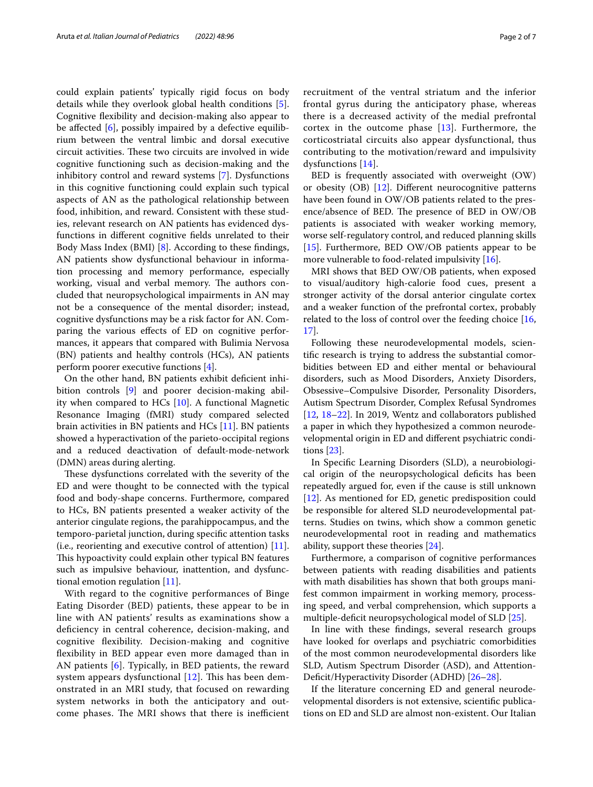could explain patients' typically rigid focus on body details while they overlook global health conditions [\[5](#page-5-4)]. Cognitive fexibility and decision-making also appear to be affected  $[6]$  $[6]$ , possibly impaired by a defective equilibrium between the ventral limbic and dorsal executive circuit activities. These two circuits are involved in wide cognitive functioning such as decision-making and the inhibitory control and reward systems [\[7](#page-5-6)]. Dysfunctions in this cognitive functioning could explain such typical aspects of AN as the pathological relationship between food, inhibition, and reward. Consistent with these studies, relevant research on AN patients has evidenced dysfunctions in diferent cognitive felds unrelated to their Body Mass Index (BMI) [\[8](#page-5-7)]. According to these fndings, AN patients show dysfunctional behaviour in information processing and memory performance, especially working, visual and verbal memory. The authors concluded that neuropsychological impairments in AN may not be a consequence of the mental disorder; instead, cognitive dysfunctions may be a risk factor for AN. Comparing the various efects of ED on cognitive performances, it appears that compared with Bulimia Nervosa (BN) patients and healthy controls (HCs), AN patients perform poorer executive functions [[4](#page-5-3)].

On the other hand, BN patients exhibit defcient inhibition controls [\[9](#page-5-8)] and poorer decision-making ability when compared to HCs [\[10](#page-5-9)]. A functional Magnetic Resonance Imaging (fMRI) study compared selected brain activities in BN patients and HCs [[11\]](#page-5-10). BN patients showed a hyperactivation of the parieto-occipital regions and a reduced deactivation of default-mode-network (DMN) areas during alerting.

These dysfunctions correlated with the severity of the ED and were thought to be connected with the typical food and body-shape concerns. Furthermore, compared to HCs, BN patients presented a weaker activity of the anterior cingulate regions, the parahippocampus, and the temporo-parietal junction, during specifc attention tasks (i.e., reorienting and executive control of attention) [\[11](#page-5-10)]. This hypoactivity could explain other typical BN features such as impulsive behaviour, inattention, and dysfunctional emotion regulation [\[11](#page-5-10)].

With regard to the cognitive performances of Binge Eating Disorder (BED) patients, these appear to be in line with AN patients' results as examinations show a deficiency in central coherence, decision-making, and cognitive fexibility. Decision-making and cognitive fexibility in BED appear even more damaged than in AN patients [[6\]](#page-5-5). Typically, in BED patients, the reward system appears dysfunctional  $[12]$  $[12]$  $[12]$ . This has been demonstrated in an MRI study, that focused on rewarding system networks in both the anticipatory and outcome phases. The MRI shows that there is inefficient recruitment of the ventral striatum and the inferior frontal gyrus during the anticipatory phase, whereas there is a decreased activity of the medial prefrontal cortex in the outcome phase [[13](#page-5-12)]. Furthermore, the corticostriatal circuits also appear dysfunctional, thus contributing to the motivation/reward and impulsivity dysfunctions [\[14\]](#page-5-13).

BED is frequently associated with overweight (OW) or obesity  $(OB)$  [[12\]](#page-5-11). Different neurocognitive patterns have been found in OW/OB patients related to the presence/absence of BED. The presence of BED in OW/OB patients is associated with weaker working memory, worse self-regulatory control, and reduced planning skills [[15\]](#page-5-14). Furthermore, BED OW/OB patients appear to be more vulnerable to food-related impulsivity [[16\]](#page-5-15).

MRI shows that BED OW/OB patients, when exposed to visual/auditory high-calorie food cues, present a stronger activity of the dorsal anterior cingulate cortex and a weaker function of the prefrontal cortex, probably related to the loss of control over the feeding choice [[16](#page-5-15), [17\]](#page-5-16).

Following these neurodevelopmental models, scientifc research is trying to address the substantial comorbidities between ED and either mental or behavioural disorders, such as Mood Disorders, Anxiety Disorders, Obsessive–Compulsive Disorder, Personality Disorders, Autism Spectrum Disorder, Complex Refusal Syndromes [[12,](#page-5-11) [18–](#page-5-17)[22\]](#page-6-0). In 2019, Wentz and collaborators published a paper in which they hypothesized a common neurodevelopmental origin in ED and diferent psychiatric conditions [[23](#page-6-1)].

In Specifc Learning Disorders (SLD), a neurobiological origin of the neuropsychological defcits has been repeatedly argued for, even if the cause is still unknown [[12\]](#page-5-11). As mentioned for ED, genetic predisposition could be responsible for altered SLD neurodevelopmental patterns. Studies on twins, which show a common genetic neurodevelopmental root in reading and mathematics ability, support these theories [[24](#page-6-2)].

Furthermore, a comparison of cognitive performances between patients with reading disabilities and patients with math disabilities has shown that both groups manifest common impairment in working memory, processing speed, and verbal comprehension, which supports a multiple-deficit neuropsychological model of SLD [[25\]](#page-6-3).

In line with these fndings, several research groups have looked for overlaps and psychiatric comorbidities of the most common neurodevelopmental disorders like SLD, Autism Spectrum Disorder (ASD), and Attention-Deficit/Hyperactivity Disorder (ADHD) [26-[28\]](#page-6-5).

If the literature concerning ED and general neurodevelopmental disorders is not extensive, scientifc publications on ED and SLD are almost non-existent. Our Italian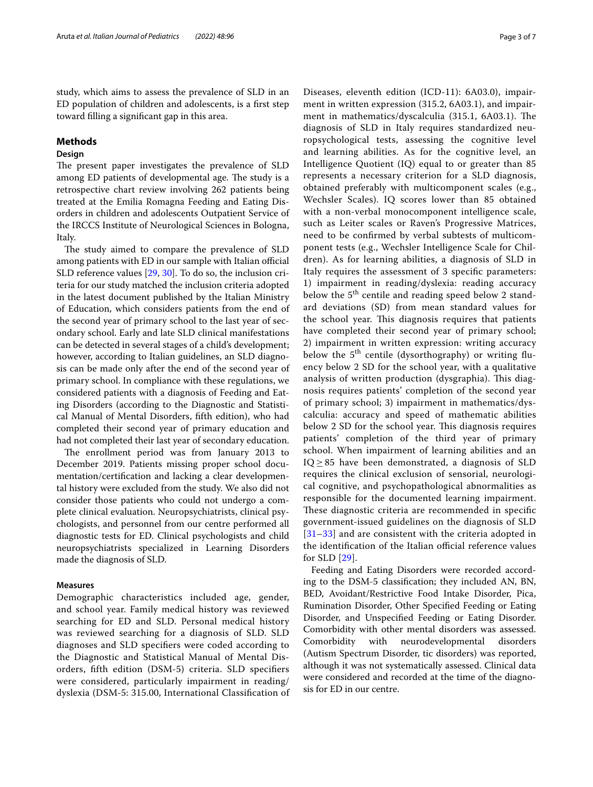study, which aims to assess the prevalence of SLD in an ED population of children and adolescents, is a frst step toward flling a signifcant gap in this area.

## **Methods**

## **Design**

The present paper investigates the prevalence of SLD among ED patients of developmental age. The study is a retrospective chart review involving 262 patients being treated at the Emilia Romagna Feeding and Eating Disorders in children and adolescents Outpatient Service of the IRCCS Institute of Neurological Sciences in Bologna, Italy.

The study aimed to compare the prevalence of SLD among patients with ED in our sample with Italian official SLD reference values [\[29](#page-6-6), [30\]](#page-6-7). To do so, the inclusion criteria for our study matched the inclusion criteria adopted in the latest document published by the Italian Ministry of Education, which considers patients from the end of the second year of primary school to the last year of secondary school. Early and late SLD clinical manifestations can be detected in several stages of a child's development; however, according to Italian guidelines, an SLD diagnosis can be made only after the end of the second year of primary school. In compliance with these regulations, we considered patients with a diagnosis of Feeding and Eating Disorders (according to the Diagnostic and Statistical Manual of Mental Disorders, ffth edition), who had completed their second year of primary education and had not completed their last year of secondary education.

The enrollment period was from January 2013 to December 2019. Patients missing proper school documentation/certifcation and lacking a clear developmental history were excluded from the study. We also did not consider those patients who could not undergo a complete clinical evaluation. Neuropsychiatrists, clinical psychologists, and personnel from our centre performed all diagnostic tests for ED. Clinical psychologists and child neuropsychiatrists specialized in Learning Disorders made the diagnosis of SLD.

## **Measures**

Demographic characteristics included age, gender, and school year. Family medical history was reviewed searching for ED and SLD. Personal medical history was reviewed searching for a diagnosis of SLD. SLD diagnoses and SLD specifers were coded according to the Diagnostic and Statistical Manual of Mental Disorders, ffth edition (DSM-5) criteria. SLD specifers were considered, particularly impairment in reading/ dyslexia (DSM-5: 315.00, International Classifcation of Diseases, eleventh edition (ICD-11): 6A03.0), impairment in written expression (315.2, 6A03.1), and impairment in mathematics/dyscalculia (315.1, 6A03.1). The diagnosis of SLD in Italy requires standardized neuropsychological tests, assessing the cognitive level and learning abilities. As for the cognitive level, an Intelligence Quotient (IQ) equal to or greater than 85 represents a necessary criterion for a SLD diagnosis, obtained preferably with multicomponent scales (e.g., Wechsler Scales). IQ scores lower than 85 obtained with a non-verbal monocomponent intelligence scale, such as Leiter scales or Raven's Progressive Matrices, need to be confrmed by verbal subtests of multicomponent tests (e.g., Wechsler Intelligence Scale for Children). As for learning abilities, a diagnosis of SLD in Italy requires the assessment of 3 specifc parameters: 1) impairment in reading/dyslexia: reading accuracy below the  $5<sup>th</sup>$  centile and reading speed below 2 standard deviations (SD) from mean standard values for the school year. This diagnosis requires that patients have completed their second year of primary school; 2) impairment in written expression: writing accuracy below the  $5<sup>th</sup>$  centile (dysorthography) or writing fluency below 2 SD for the school year, with a qualitative analysis of written production (dysgraphia). This diagnosis requires patients' completion of the second year of primary school; 3) impairment in mathematics/dyscalculia: accuracy and speed of mathematic abilities below 2 SD for the school year. This diagnosis requires patients' completion of the third year of primary school. When impairment of learning abilities and an  $IQ \geq 85$  have been demonstrated, a diagnosis of SLD requires the clinical exclusion of sensorial, neurological cognitive, and psychopathological abnormalities as responsible for the documented learning impairment. These diagnostic criteria are recommended in specific government-issued guidelines on the diagnosis of SLD [[31](#page-6-8)[–33](#page-6-9)] and are consistent with the criteria adopted in the identification of the Italian official reference values for SLD [\[29](#page-6-6)].

Feeding and Eating Disorders were recorded according to the DSM-5 classifcation; they included AN, BN, BED, Avoidant/Restrictive Food Intake Disorder, Pica, Rumination Disorder, Other Specifed Feeding or Eating Disorder, and Unspecifed Feeding or Eating Disorder. Comorbidity with other mental disorders was assessed. Comorbidity with neurodevelopmental disorders (Autism Spectrum Disorder, tic disorders) was reported, although it was not systematically assessed. Clinical data were considered and recorded at the time of the diagnosis for ED in our centre.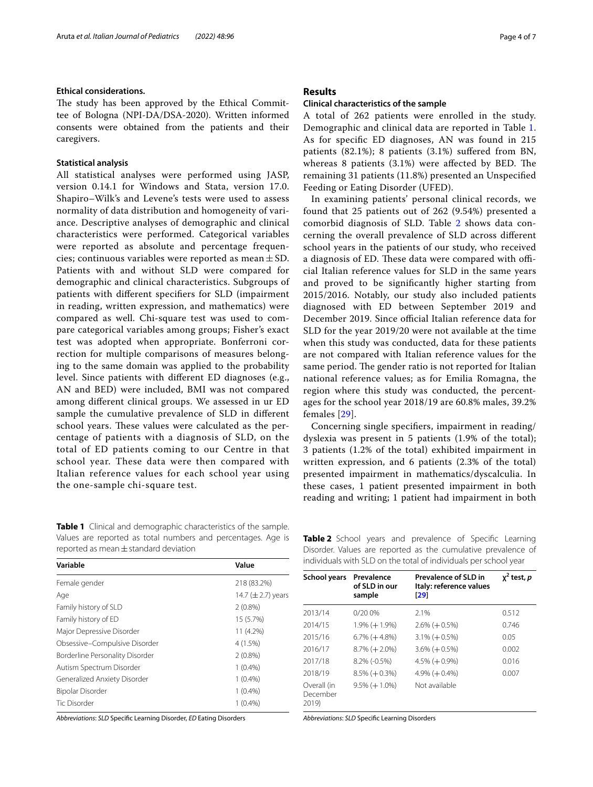#### **Ethical considerations.**

The study has been approved by the Ethical Committee of Bologna (NPI-DA/DSA-2020). Written informed consents were obtained from the patients and their caregivers.

## **Statistical analysis**

All statistical analyses were performed using JASP, version 0.14.1 for Windows and Stata, version 17.0. Shapiro–Wilk's and Levene's tests were used to assess normality of data distribution and homogeneity of variance. Descriptive analyses of demographic and clinical characteristics were performed. Categorical variables were reported as absolute and percentage frequencies; continuous variables were reported as mean  $\pm$  SD. Patients with and without SLD were compared for demographic and clinical characteristics. Subgroups of patients with diferent specifers for SLD (impairment in reading, written expression, and mathematics) were compared as well. Chi-square test was used to compare categorical variables among groups; Fisher's exact test was adopted when appropriate. Bonferroni correction for multiple comparisons of measures belonging to the same domain was applied to the probability level. Since patients with diferent ED diagnoses (e.g., AN and BED) were included, BMI was not compared among diferent clinical groups. We assessed in ur ED sample the cumulative prevalence of SLD in diferent school years. These values were calculated as the percentage of patients with a diagnosis of SLD, on the total of ED patients coming to our Centre in that school year. These data were then compared with Italian reference values for each school year using the one-sample chi-square test.

<span id="page-3-0"></span>**Table 1** Clinical and demographic characteristics of the sample. Values are reported as total numbers and percentages. Age is reported as mean  $\pm$  standard deviation

| Variable                        | Value                  |
|---------------------------------|------------------------|
| Female gender                   | 218 (83.2%)            |
| Age                             | 14.7 $(\pm 2.7)$ years |
| Family history of SLD           | $2(0.8\%)$             |
| Family history of ED            | 15 (5.7%)              |
| Major Depressive Disorder       | 11 (4.2%)              |
| Obsessive-Compulsive Disorder   | 4(1.5%)                |
| Borderline Personality Disorder | $2(0.8\%)$             |
| Autism Spectrum Disorder        | $1(0.4\%)$             |
| Generalized Anxiety Disorder    | $1(0.4\%)$             |
| Bipolar Disorder                | $1(0.4\%)$             |
| Tic Disorder                    | $1(0.4\%)$             |
|                                 |                        |

*Abbreviations*: *SLD* Specifc Learning Disorder, *ED* Eating Disorders

## **Results**

#### **Clinical characteristics of the sample**

A total of 262 patients were enrolled in the study. Demographic and clinical data are reported in Table [1](#page-3-0). As for specifc ED diagnoses, AN was found in 215 patients (82.1%); 8 patients (3.1%) sufered from BN, whereas 8 patients  $(3.1%)$  were affected by BED. The remaining 31 patients (11.8%) presented an Unspecifed Feeding or Eating Disorder (UFED).

In examining patients' personal clinical records, we found that 25 patients out of 262 (9.54%) presented a comorbid diagnosis of SLD. Table [2](#page-3-1) shows data concerning the overall prevalence of SLD across diferent school years in the patients of our study, who received a diagnosis of ED. These data were compared with official Italian reference values for SLD in the same years and proved to be signifcantly higher starting from 2015/2016. Notably, our study also included patients diagnosed with ED between September 2019 and December 2019. Since official Italian reference data for SLD for the year 2019/20 were not available at the time when this study was conducted, data for these patients are not compared with Italian reference values for the same period. The gender ratio is not reported for Italian national reference values; as for Emilia Romagna, the region where this study was conducted, the percentages for the school year 2018/19 are 60.8% males, 39.2% females [\[29](#page-6-6)].

Concerning single specifers, impairment in reading/ dyslexia was present in 5 patients (1.9% of the total); 3 patients (1.2% of the total) exhibited impairment in written expression, and 6 patients (2.3% of the total) presented impairment in mathematics/dyscalculia. In these cases, 1 patient presented impairment in both reading and writing; 1 patient had impairment in both

<span id="page-3-1"></span>

|                                                                  | School vears Prevalence | Prevalence of SLD in                                          | $y^2$ test. <i>p</i> |  |  |  |
|------------------------------------------------------------------|-------------------------|---------------------------------------------------------------|----------------------|--|--|--|
| individuals with SLD on the total of individuals per school year |                         |                                                               |                      |  |  |  |
|                                                                  |                         | Disorder. Values are reported as the cumulative prevalence of |                      |  |  |  |
|                                                                  |                         | Table 2 School years and prevalence of Specific Learning      |                      |  |  |  |

| <b>School years</b>              | Prevalence<br>of SLD in our<br>sample | <b>Prevalence of SLD in</b><br>Italy: reference values<br>[29] | $x^2$ test, p |
|----------------------------------|---------------------------------------|----------------------------------------------------------------|---------------|
| 2013/14                          | 0/200%                                | 2.1%                                                           | 0.512         |
| 2014/15                          | $1.9\%$ (+1.9%)                       | $2.6\%$ (+0.5%)                                                | 0.746         |
| 2015/16                          | $6.7\%$ ( $+4.8\%$ )                  | $3.1\% (+0.5\%)$                                               | 0.05          |
| 2016/17                          | $8.7\%$ (+2.0%)                       | $3.6\%$ (+0.5%)                                                | 0.002         |
| 2017/18                          | 8.2% (-0.5%)                          | $4.5\%$ ( $+0.9\%$ )                                           | 0.016         |
| 2018/19                          | $8.5\%$ (+0.3%)                       | $4.9\% (+0.4\%)$                                               | 0.007         |
| Overall (in<br>December<br>2019) | $9.5\%$ (+1.0%)                       | Not available                                                  |               |

*Abbreviations*: *SLD* Specifc Learning Disorders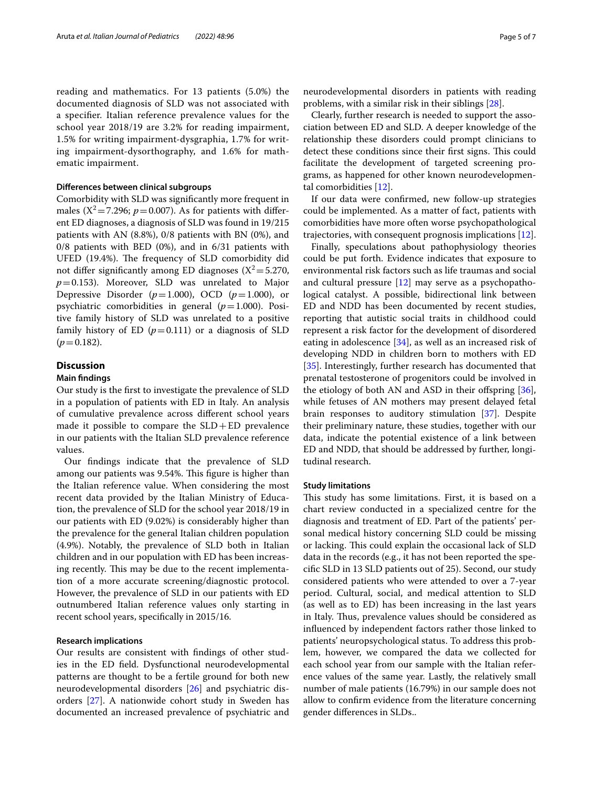reading and mathematics. For 13 patients (5.0%) the documented diagnosis of SLD was not associated with a specifer. Italian reference prevalence values for the school year 2018/19 are 3.2% for reading impairment, 1.5% for writing impairment-dysgraphia, 1.7% for writing impairment-dysorthography, and 1.6% for mathematic impairment.

## **Diferences between clinical subgroups**

Comorbidity with SLD was signifcantly more frequent in males ( $X^2 = 7.296$ ;  $p = 0.007$ ). As for patients with different ED diagnoses, a diagnosis of SLD was found in 19/215 patients with AN (8.8%), 0/8 patients with BN (0%), and 0/8 patients with BED (0%), and in 6/31 patients with UFED (19.4%). The frequency of SLD comorbidity did not differ significantly among ED diagnoses  $(X^2 = 5.270$ ,  $p=0.153$ ). Moreover, SLD was unrelated to Major Depressive Disorder  $(p=1.000)$ , OCD  $(p=1.000)$ , or psychiatric comorbidities in general  $(p=1.000)$ . Positive family history of SLD was unrelated to a positive family history of ED  $(p=0.111)$  or a diagnosis of SLD  $(p=0.182)$ .

## **Discussion**

## **Main fndings**

Our study is the frst to investigate the prevalence of SLD in a population of patients with ED in Italy. An analysis of cumulative prevalence across diferent school years made it possible to compare the  $SLD+ED$  prevalence in our patients with the Italian SLD prevalence reference values.

Our fndings indicate that the prevalence of SLD among our patients was 9.54%. This figure is higher than the Italian reference value. When considering the most recent data provided by the Italian Ministry of Education, the prevalence of SLD for the school year 2018/19 in our patients with ED (9.02%) is considerably higher than the prevalence for the general Italian children population (4.9%). Notably, the prevalence of SLD both in Italian children and in our population with ED has been increasing recently. This may be due to the recent implementation of a more accurate screening/diagnostic protocol. However, the prevalence of SLD in our patients with ED outnumbered Italian reference values only starting in recent school years, specifcally in 2015/16.

## **Research implications**

Our results are consistent with fndings of other studies in the ED feld. Dysfunctional neurodevelopmental patterns are thought to be a fertile ground for both new neurodevelopmental disorders [\[26](#page-6-4)] and psychiatric disorders [\[27](#page-6-10)]. A nationwide cohort study in Sweden has documented an increased prevalence of psychiatric and neurodevelopmental disorders in patients with reading problems, with a similar risk in their siblings [\[28](#page-6-5)].

Clearly, further research is needed to support the association between ED and SLD. A deeper knowledge of the relationship these disorders could prompt clinicians to detect these conditions since their first signs. This could facilitate the development of targeted screening programs, as happened for other known neurodevelopmental comorbidities [\[12](#page-5-11)].

If our data were confrmed, new follow-up strategies could be implemented. As a matter of fact, patients with comorbidities have more often worse psychopathological trajectories, with consequent prognosis implications [\[12](#page-5-11)].

Finally, speculations about pathophysiology theories could be put forth. Evidence indicates that exposure to environmental risk factors such as life traumas and social and cultural pressure [\[12](#page-5-11)] may serve as a psychopathological catalyst. A possible, bidirectional link between ED and NDD has been documented by recent studies, reporting that autistic social traits in childhood could represent a risk factor for the development of disordered eating in adolescence [\[34](#page-6-11)], as well as an increased risk of developing NDD in children born to mothers with ED [[35\]](#page-6-12). Interestingly, further research has documented that prenatal testosterone of progenitors could be involved in the etiology of both AN and ASD in their offspring  $[36]$  $[36]$ , while fetuses of AN mothers may present delayed fetal brain responses to auditory stimulation [[37](#page-6-14)]. Despite their preliminary nature, these studies, together with our data, indicate the potential existence of a link between ED and NDD, that should be addressed by further, longitudinal research.

#### **Study limitations**

This study has some limitations. First, it is based on a chart review conducted in a specialized centre for the diagnosis and treatment of ED. Part of the patients' personal medical history concerning SLD could be missing or lacking. This could explain the occasional lack of SLD data in the records (e.g., it has not been reported the specifc SLD in 13 SLD patients out of 25). Second, our study considered patients who were attended to over a 7-year period. Cultural, social, and medical attention to SLD (as well as to ED) has been increasing in the last years in Italy. Thus, prevalence values should be considered as infuenced by independent factors rather those linked to patients' neuropsychological status. To address this problem, however, we compared the data we collected for each school year from our sample with the Italian reference values of the same year. Lastly, the relatively small number of male patients (16.79%) in our sample does not allow to confrm evidence from the literature concerning gender diferences in SLDs..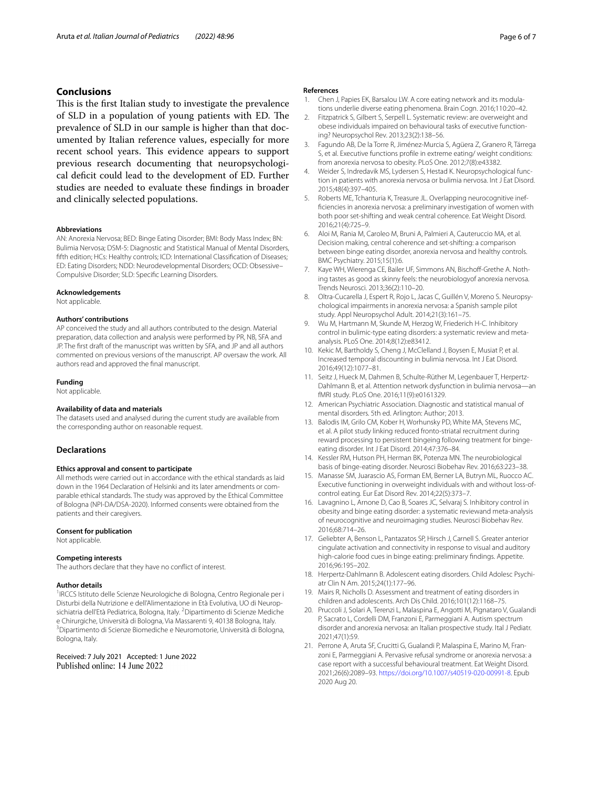## **Conclusions**

This is the first Italian study to investigate the prevalence of SLD in a population of young patients with ED. The prevalence of SLD in our sample is higher than that documented by Italian reference values, especially for more recent school years. This evidence appears to support previous research documenting that neuropsychological defcit could lead to the development of ED. Further studies are needed to evaluate these fndings in broader and clinically selected populations.

#### **Abbreviations**

AN: Anorexia Nervosa; BED: Binge Eating Disorder; BMI: Body Mass Index; BN: Bulimia Nervosa; DSM-5: Diagnostic and Statistical Manual of Mental Disorders, ffth edition; HCs: Healthy controls; ICD: International Classifcation of Diseases; ED: Eating Disorders; NDD: Neurodevelopmental Disorders; OCD: Obsessive– Compulsive Disorder; SLD: Specifc Learning Disorders.

#### **Acknowledgements**

Not applicable.

#### **Authors' contributions**

AP conceived the study and all authors contributed to the design. Material preparation, data collection and analysis were performed by PR, NB, SFA and JP. The frst draft of the manuscript was written by SFA, and JP and all authors commented on previous versions of the manuscript. AP oversaw the work. All authors read and approved the fnal manuscript.

#### **Funding**

Not applicable.

#### **Availability of data and materials**

The datasets used and analysed during the current study are available from the corresponding author on reasonable request.

## **Declarations**

## **Ethics approval and consent to participate**

All methods were carried out in accordance with the ethical standards as laid down in the 1964 Declaration of Helsinki and its later amendments or comparable ethical standards. The study was approved by the Ethical Committee of Bologna (NPI-DA/DSA-2020). Informed consents were obtained from the patients and their caregivers.

#### **Consent for publication**

Not applicable.

#### **Competing interests**

The authors declare that they have no confict of interest.

#### **Author details**

<sup>1</sup> IRCCS Istituto delle Scienze Neurologiche di Bologna, Centro Regionale per i Disturbi della Nutrizione e dell'Alimentazione in Età Evolutiva, UO di Neuropsichiatria dell'Età Pediatrica, Bologna, Italy. <sup>2</sup> Dipartimento di Scienze Mediche e Chirurgiche, Università di Bologna, Via Massarenti 9, 40138 Bologna, Italy. <sup>3</sup> Dipartimento di Scienze Biomediche e Neuromotorie, Università di Bologna, Bologna, Italy.

Received: 7 July 2021 Accepted: 1 June 2022 Published online: 14 June 2022

#### **References**

- <span id="page-5-0"></span>1. Chen J, Papies EK, Barsalou LW. A core eating network and its modulations underlie diverse eating phenomena. Brain Cogn. 2016;110:20–42.
- <span id="page-5-1"></span>2. Fitzpatrick S, Gilbert S, Serpell L. Systematic review: are overweight and obese individuals impaired on behavioural tasks of executive functioning? Neuropsychol Rev. 2013;23(2):138–56.
- <span id="page-5-2"></span>3. Fagundo AB, De la Torre R, Jiménez-Murcia S, Agüera Z, Granero R, Tárrega S, et al. Executive functions profle in extreme eating/ weight conditions: from anorexia nervosa to obesity. PLoS One. 2012;7(8):e43382.
- <span id="page-5-3"></span>4. Weider S, Indredavik MS, Lydersen S, Hestad K. Neuropsychological function in patients with anorexia nervosa or bulimia nervosa. Int J Eat Disord. 2015;48(4):397–405.
- <span id="page-5-4"></span>5. Roberts ME, Tchanturia K, Treasure JL. Overlapping neurocognitive ineffciencies in anorexia nervosa: a preliminary investigation of women with both poor set-shifting and weak central coherence. Eat Weight Disord. 2016;21(4):725–9.
- <span id="page-5-5"></span>6. Aloi M, Rania M, Caroleo M, Bruni A, Palmieri A, Cauteruccio MA, et al. Decision making, central coherence and set-shifting: a comparison between binge eating disorder, anorexia nervosa and healthy controls. BMC Psychiatry. 2015;15(1):6.
- <span id="page-5-6"></span>Kaye WH, Wierenga CE, Bailer UF, Simmons AN, Bischoff-Grethe A. Nothing tastes as good as skinny feels: the neurobiologyof anorexia nervosa. Trends Neurosci. 2013;36(2):110–20.
- <span id="page-5-7"></span>8. Oltra-Cucarella J, Espert R, Rojo L, Jacas C, Guillén V, Moreno S. Neuropsychological impairments in anorexia nervosa: a Spanish sample pilot study. Appl Neuropsychol Adult. 2014;21(3):161–75.
- <span id="page-5-8"></span>9. Wu M, Hartmann M, Skunde M, Herzog W, Friederich H-C. Inhibitory control in bulimic-type eating disorders: a systematic review and metaanalysis. PLoS One. 2014;8(12):e83412.
- <span id="page-5-9"></span>10. Kekic M, Bartholdy S, Cheng J, McClelland J, Boysen E, Musiat P, et al. Increased temporal discounting in bulimia nervosa. Int J Eat Disord. 2016;49(12):1077–81.
- <span id="page-5-10"></span>11. Seitz J, Hueck M, Dahmen B, Schulte-Rüther M, Legenbauer T, Herpertz-Dahlmann B, et al. Attention network dysfunction in bulimia nervosa—an fMRI study. PLoS One. 2016;11(9):e0161329.
- <span id="page-5-11"></span>12. American Psychiatric Association. Diagnostic and statistical manual of mental disorders. 5th ed. Arlington: Author; 2013.
- <span id="page-5-12"></span>13. Balodis IM, Grilo CM, Kober H, Worhunsky PD, White MA, Stevens MC, et al. A pilot study linking reduced fronto-striatal recruitment during reward processing to persistent bingeing following treatment for bingeeating disorder. Int J Eat Disord. 2014;47:376–84.
- <span id="page-5-13"></span>14. Kessler RM, Hutson PH, Herman BK, Potenza MN. The neurobiological basis of binge-eating disorder. Neurosci Biobehav Rev. 2016;63:223–38.
- <span id="page-5-14"></span>15. Manasse SM, Juarascio AS, Forman EM, Berner LA, Butryn ML, Ruocco AC. Executive functioning in overweight individuals with and without loss-ofcontrol eating. Eur Eat Disord Rev. 2014;22(5):373–7.
- <span id="page-5-15"></span>16. Lavagnino L, Arnone D, Cao B, Soares JC, Selvaraj S. Inhibitory control in obesity and binge eating disorder: a systematic reviewand meta-analysis of neurocognitive and neuroimaging studies. Neurosci Biobehav Rev. 2016;68:714–26.
- <span id="page-5-16"></span>17. Geliebter A, Benson L, Pantazatos SP, Hirsch J, Carnell S. Greater anterior cingulate activation and connectivity in response to visual and auditory high-calorie food cues in binge eating: preliminary fndings. Appetite. 2016;96:195–202.
- <span id="page-5-17"></span>18. Herpertz-Dahlmann B. Adolescent eating disorders. Child Adolesc Psychiatr Clin N Am. 2015;24(1):177–96.
- 19. Mairs R, Nicholls D. Assessment and treatment of eating disorders in children and adolescents. Arch Dis Child. 2016;101(12):1168–75.
- 20. Pruccoli J, Solari A, Terenzi L, Malaspina E, Angotti M, Pignataro V, Gualandi P, Sacrato L, Cordelli DM, Franzoni E, Parmeggiani A. Autism spectrum disorder and anorexia nervosa: an Italian prospective study. Ital J Pediatr. 2021;47(1):59.
- 21. Perrone A, Aruta SF, Crucitti G, Gualandi P, Malaspina E, Marino M, Franzoni E, Parmeggiani A. Pervasive refusal syndrome or anorexia nervosa: a case report with a successful behavioural treatment. Eat Weight Disord. 2021;26(6):2089–93. <https://doi.org/10.1007/s40519-020-00991-8>. Epub 2020 Aug 20.